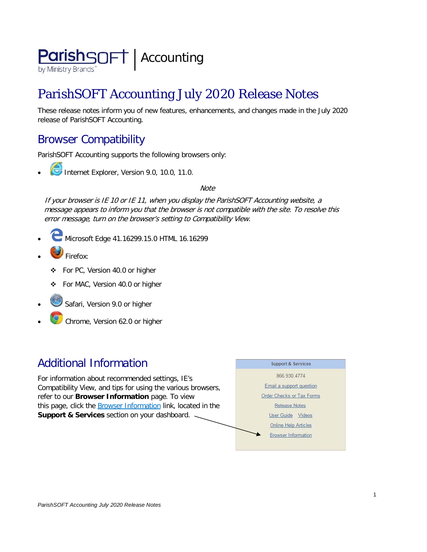

# ParishSOFT Accounting July 2020 Release Notes

These release notes inform you of new features, enhancements, and changes made in the July 2020 release of ParishSOFT Accounting.

## Browser Compatibility

ParishSOFT Accounting supports the following browsers only:

**• Internet Explorer, Version 9.0, 10.0, 11.0.** 

**Note** 

If your browser is IE 10 or IE 11, when you display the ParishSOFT Accounting website, a message appears to inform you that the browser is not compatible with the site. To resolve this error message, turn on the browser's setting to Compatibility View.

- Microsoft Edge 41.16299.15.0 HTML 16.16299
- Firefox:
	- For PC, Version 40.0 or higher
	- For MAC, Version 40.0 or higher
- Safari, Version 9.0 or higher
- Chrome, Version 62.0 or higher

## Additional Information

For information about recommended settings, IE's Compatibility View, and tips for using the various browsers, refer to our **Browser Information** page. To view this page, click the **Browser Information** link, located in the **Support & Services** section on your dashboard.

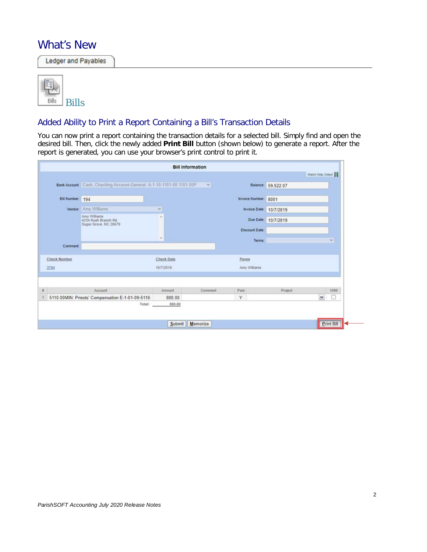### What's New

Ledger and Payables

| <b>Bills</b> |
|--------------|

### Added Ability to Print a Report Containing a Bill's Transaction Details

You can now print a report containing the transaction details for a selected bill. Simply find and open the desired bill. Then, click the newly added **Print Bill** button (shown below) to generate a report. After the report is generated, you can use your browser's print control to print it.

|                     |                                                                       | <b>Bill Information</b> |                 |                       |                         |                   |              |
|---------------------|-----------------------------------------------------------------------|-------------------------|-----------------|-----------------------|-------------------------|-------------------|--------------|
|                     |                                                                       |                         |                 |                       |                         | Watch Help Video! |              |
|                     | Bank Account: Cash, Checking Account-General: A-1-10-1101-00 1101.00P |                         | $\vee$          |                       | Balance: 59,522.07      |                   |              |
| Bill Number: 194    |                                                                       |                         |                 | Invoice Number: 8001  |                         |                   |              |
|                     | Vendor: Amy Williams                                                  | v                       |                 |                       | Invoice Date: 10/7/2019 |                   |              |
|                     | Amy Williams<br>4234 Rush Branch Rd.<br>Sugar Grove, NC 28679         | ×                       |                 |                       | Due Date: 10/7/2019     |                   |              |
|                     |                                                                       |                         |                 | <b>Discount Date:</b> |                         |                   |              |
|                     |                                                                       | $\rightarrow$           |                 | Terms:                |                         |                   | $\mathbf{v}$ |
| Comment:            |                                                                       |                         |                 |                       |                         |                   |              |
| <b>Check Number</b> |                                                                       | Check Date              |                 | Payee                 |                         |                   |              |
| 3764                |                                                                       | 10/7/2019               |                 | Amy Williams          |                         |                   |              |
|                     |                                                                       |                         |                 |                       |                         |                   |              |
|                     | Account                                                               | Amount                  | Comment         | Paid                  | Project                 |                   | 1099         |
|                     | 5110.00MIN: Priests' Compensation E-1-01-09-5110-                     | 800.00                  |                 | Y                     |                         | $\check{ }$       |              |
|                     | Total:                                                                | 800.00                  |                 |                       |                         |                   |              |
|                     |                                                                       | Submit                  | <b>Memorize</b> |                       |                         |                   | Print Bill   |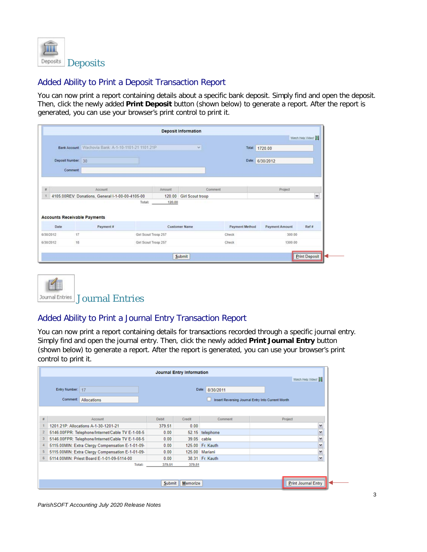

### Added Ability to Print a Deposit Transaction Report

You can now print a report containing details about a specific bank deposit. Simply find and open the deposit. Then, click the newly added **Print Deposit** button (shown below) to generate a report. After the report is generated, you can use your browser's print control to print it.

|                    |                                     |                                                     |                      |        | <b>Deposit Information</b> |                |                       |                   |
|--------------------|-------------------------------------|-----------------------------------------------------|----------------------|--------|----------------------------|----------------|-----------------------|-------------------|
|                    |                                     |                                                     |                      |        |                            |                |                       | Watch Help Video! |
|                    |                                     | Bank Account Wachovia Bank: A-1-10-1101-21 1101.21P |                      |        | $\checkmark$               |                | Total: 1720.00        |                   |
| Deposit Number: 30 |                                     |                                                     |                      |        |                            |                | Date: 6/30/2012       |                   |
|                    | Comment:                            |                                                     |                      |        |                            |                |                       |                   |
|                    |                                     |                                                     |                      |        |                            |                |                       |                   |
|                    |                                     |                                                     |                      |        |                            |                |                       |                   |
|                    |                                     | Account                                             |                      | Amount | Comment                    |                | Project               |                   |
|                    |                                     | 4105.00REV: Donations, General I-1-00-00-4105-00    |                      | 120.00 | <b>Girl Scout troop</b>    |                |                       | $\check{ }$       |
|                    |                                     |                                                     | Total:               | 120,00 |                            |                |                       |                   |
|                    |                                     |                                                     |                      |        |                            |                |                       |                   |
|                    | <b>Accounts Receivable Payments</b> |                                                     |                      |        |                            |                |                       |                   |
|                    | Date                                | Payment#                                            |                      |        | <b>Customer Name</b>       | Payment Method | <b>Payment Amount</b> | Ref#              |
| #                  | 17<br>6/30/2012                     |                                                     | Girl Scout Troop 257 |        |                            | Check          | 300.00                |                   |



### Added Ability to Print a Journal Entry Transaction Report

You can now print a report containing details for transactions recorded through a specific journal entry. Simply find and open the journal entry. Then, click the newly added **Print Journal Entry** button (shown below) to generate a report. After the report is generated, you can use your browser's print control to print it.

|                         |                                                  |        | <b>Journal Entry Information</b> |                  |                                                   |
|-------------------------|--------------------------------------------------|--------|----------------------------------|------------------|---------------------------------------------------|
|                         |                                                  |        |                                  |                  | Watch Help Video!                                 |
| Entry Number: 17        |                                                  |        |                                  | Date: 8/30/2011  |                                                   |
| Comment:                | Allocations                                      |        |                                  |                  | Insert Reversing Journal Entry Into Current Month |
|                         |                                                  |        |                                  |                  |                                                   |
|                         | Account                                          | Debit  | Credit                           | Comment          | Project                                           |
|                         | 1201.21P: Allocations A-1-30-1201-21             | 379.51 | 0.00                             |                  | v                                                 |
| $\overline{\mathbf{2}}$ | 5146.00FPR: Telephone/Internet/Cable TV E-1-08-5 | 0.00   |                                  | 52.15 telephone  | ٧                                                 |
|                         | 5146.00FPR: Telephone/Internet/Cable TV E-1-08-5 | 0.00   | 39.05 cable                      |                  | $\checkmark$                                      |
|                         | 5115.00MIN: Extra Clergy Compensation E-1-01-09- | 0.00   |                                  | 125.00 Fr. Kauth | v                                                 |
| 5                       | 5115.00MIN: Extra Clergy Compensation E-1-01-09- | 0.00   |                                  | 125.00 Mariani   | $\checkmark$                                      |
| 6                       | 5114.00MIN: Priest Board E-1-01-09-5114-00       | 0.00   |                                  | 38.31 Fr. Kauth  | v                                                 |
|                         | <b>Total:</b>                                    | 379.51 | 379.51                           |                  |                                                   |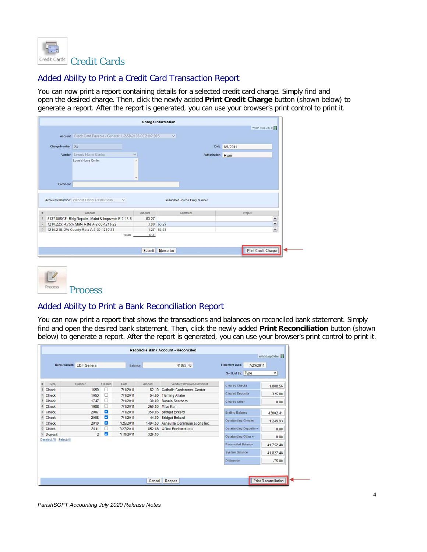

### Added Ability to Print a Credit Card Transaction Report

You can now print a report containing details for a selected credit card charge. Simply find and open the desired charge. Then, click the newly added **Print Credit Charge** button (shown below) to generate a report. After the report is generated, you can use your browser's print control to print it.

|                            |                                                                                                  |          | <b>Charge Information</b>                   | Watch Help Video!   |        |
|----------------------------|--------------------------------------------------------------------------------------------------|----------|---------------------------------------------|---------------------|--------|
|                            | Account Credit Card Payable - General: L-2-50-2102-00 2102.00S                                   |          | $\mathcal{A}$                               |                     |        |
|                            |                                                                                                  |          |                                             |                     |        |
| Charge Number: 28          |                                                                                                  |          |                                             | Date: 8/8/2011      |        |
| Vendor: Lowe's Home Center |                                                                                                  | $\sim$   |                                             | Authorization: Ryan |        |
|                            | Lowe's Home Center                                                                               | ٠        |                                             |                     |        |
|                            |                                                                                                  |          |                                             |                     |        |
| Comment                    |                                                                                                  | $\omega$ |                                             |                     |        |
|                            |                                                                                                  |          |                                             |                     |        |
|                            |                                                                                                  |          |                                             |                     |        |
|                            | Account Restriction: Without Donor Restrictions<br>SE.<br>Account                                | Amount   | Associated Journal Entry Number:<br>Comment | Project             |        |
|                            |                                                                                                  | 63.27    |                                             |                     |        |
|                            | 5137.00SCF: Bldg Repairs, Maint & Imprymts E-2-13-8<br>1210 22S: 4.75% State Rate A-2-30-1210-22 |          |                                             |                     | ×      |
|                            |                                                                                                  |          | 3.00 63.27                                  |                     | Y<br>v |
|                            | 1210.21S: 2% County Rate A-2-30-1210-21<br>Total:                                                | 67.54    | 1.27 63.27                                  |                     |        |



## Added Ability to Print a Bank Reconciliation Report

You can now print a report that shows the transactions and balances on reconciled bank statement. Simply find and open the desired bank statement. Then, click the newly added **Print Reconciliation** button (shown below) to generate a report. After the report is generated, you can use your browser's print control to print it.

|              | <b>Statement Date:</b><br>7/29/2011 | 41827.48                              |        | Balance:    |         | <b>Bank Account: EDF General</b> |                         |
|--------------|-------------------------------------|---------------------------------------|--------|-------------|---------|----------------------------------|-------------------------|
| $\checkmark$ | Sort List By: Type                  |                                       |        |             |         |                                  |                         |
| 1,888.56     | <b>Cleared Checks</b>               | Vendor/Employee/Comment               | Amount | <b>Date</b> | Cleared | Number                           | Type                    |
|              |                                     | <b>Catholic Conference Center</b>     | 62.10  | 7/1/2011    | n       | 1650                             | Check                   |
| 325.00       | <b>Cleared Deposits</b>             | <b>Fleming Allaire</b>                | 54.95  | 7/1/2011    | n       | 1653                             | Check                   |
| 0.00         | Cleared Other                       | Bonnie Scothorn                       | 30.00  | 7/1/2011    | o       | 1747                             | Check                   |
|              |                                     | Mike Kerr                             | 250.00 | 7/1/2011    | O       | 1908                             | Check                   |
| 43002.41     | <b>Ending Balance</b>               | <b>Bridget Eckerd</b>                 | 350.06 | 7/1/2011    | Z       | 2007                             | Check                   |
|              | Outstanding Checks -                | <b>Bridget Eckerd</b>                 | 44.00  | 7/1/2011    | Z       | 2008                             | Check                   |
| 1,249.93     |                                     | 1494.50 Asheville Communications Inc. |        | 7/25/2011   | Z       | 2010                             | Check                   |
| 0.00         | Outstanding Deposits +              | 852.88 Office Environments            |        | 7/27/2011   | n       | 2011                             | Check                   |
| 0.00         | Outstanding Other +                 |                                       | 325.00 | 7/18/2011   | Z       | $\overline{2}$                   | <sup>9</sup> Deposit    |
| 41.752.48    | <b>Reconciled Balance</b>           |                                       |        |             |         |                                  | Deselect All Select All |
| 41,827.48    | <b>System Balance</b>               |                                       |        |             |         |                                  |                         |
| $-75.00$     | <b>Difference</b>                   |                                       |        |             |         |                                  |                         |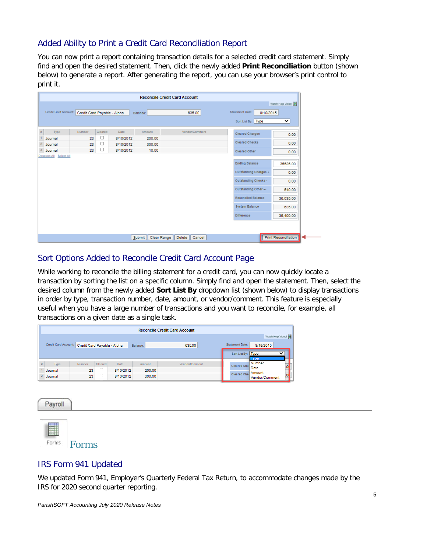### Added Ability to Print a Credit Card Reconciliation Report

You can now print a report containing transaction details for a selected credit card statement. Simply find and open the desired statement. Then, click the newly added **Print Reconciliation** button (shown below) to generate a report. After generating the report, you can use your browser's print control to print it.

| <b>Reconcile Credit Card Account</b> |                              |                |                  |                        |         |          |                                                  |     |  |
|--------------------------------------|------------------------------|----------------|------------------|------------------------|---------|----------|--------------------------------------------------|-----|--|
| Watch Help Video!                    |                              |                |                  |                        |         |          |                                                  |     |  |
|                                      | Statement Date:<br>8/19/2015 | 635.00         | Balance:         |                        |         |          | Credit Card Account: Credit Card Payable - Alpha |     |  |
| $\checkmark$                         | Sort List By: Type           |                |                  |                        |         |          |                                                  |     |  |
| 0.00                                 | Cleared Charges              | Vendor/Comment | Amount           | Date                   | Cleared | Number   | Type                                             | $H$ |  |
| 0.00                                 | Cleared Checks               |                | 200.00<br>300.00 | 8/10/2012<br>8/10/2012 | □<br>O  | 23<br>23 | Journal<br>2 Journal                             |     |  |
| 0.00                                 | Cleared Other                |                | 10.00            | 8/10/2012              | O       | 23       | 3 Journal                                        |     |  |
|                                      |                              |                |                  |                        |         |          | Deselect All Select All                          |     |  |
| 35525.00                             | <b>Ending Balance</b>        |                |                  |                        |         |          |                                                  |     |  |
| 0.00                                 | Outstanding Charges +        |                |                  |                        |         |          |                                                  |     |  |
| 0.00                                 | Outstanding Checks -         |                |                  |                        |         |          |                                                  |     |  |
| 510.00                               | Outstanding Other +-         |                |                  |                        |         |          |                                                  |     |  |
| 36.035.00                            | <b>Reconciled Balance</b>    |                |                  |                        |         |          |                                                  |     |  |
| 635.00                               | <b>System Balance</b>        |                |                  |                        |         |          |                                                  |     |  |
|                                      |                              |                |                  |                        |         |          |                                                  |     |  |

### Sort Options Added to Reconcile Credit Card Account Page

While working to reconcile the billing statement for a credit card, you can now quickly locate a transaction by sorting the list on a specific column. Simply find and open the statement. Then, select the desired column from the newly added **Sort List By** dropdown list (shown below) to display transactions in order by type, transaction number, date, amount, or vendor/comment. This feature is especially useful when you have a large number of transactions and you want to reconcile, for example, all transactions on a given date as a single task.

|      |                      |                             |         |           |          | <b>Reconcile Credit Card Account</b> |                                                  |
|------|----------------------|-----------------------------|---------|-----------|----------|--------------------------------------|--------------------------------------------------|
|      |                      |                             |         |           |          |                                      | Watch Help Video!                                |
|      | Credit Card Account: | Credit Card Payable - Alpha |         |           | Balance: | 635.00                               | Statement Date:<br>8/19/2015                     |
|      |                      |                             |         |           |          |                                      | $\check{ }$<br>Sort List By: Type<br><b>Type</b> |
| $\#$ | Type                 | Number                      | Cleared | Date      | Amount   | Vendor/Comment                       | Number<br><b>Cleared Chai</b><br>Date            |
|      | Journal              | 23                          | ◡       | 8/10/2012 | 200.00   |                                      | Cleared Chel Amount                              |
|      | Journal              | 23                          | L<br>-  | 8/10/2012 | 300.00   |                                      | Vendor/Comment                                   |

Payroll



### IRS Form 941 Updated

We updated Form 941, Employer's Quarterly Federal Tax Return, to accommodate changes made by the IRS for 2020 second quarter reporting.